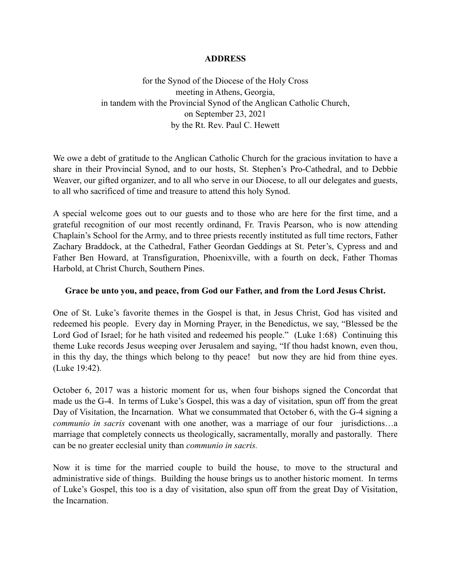## **ADDRESS**

for the Synod of the Diocese of the Holy Cross meeting in Athens, Georgia, in tandem with the Provincial Synod of the Anglican Catholic Church, on September 23, 2021 by the Rt. Rev. Paul C. Hewett

We owe a debt of gratitude to the Anglican Catholic Church for the gracious invitation to have a share in their Provincial Synod, and to our hosts, St. Stephen's Pro-Cathedral, and to Debbie Weaver, our gifted organizer, and to all who serve in our Diocese, to all our delegates and guests, to all who sacrificed of time and treasure to attend this holy Synod.

A special welcome goes out to our guests and to those who are here for the first time, and a grateful recognition of our most recently ordinand, Fr. Travis Pearson, who is now attending Chaplain's School for the Army, and to three priests recently instituted as full time rectors, Father Zachary Braddock, at the Cathedral, Father Geordan Geddings at St. Peter's, Cypress and and Father Ben Howard, at Transfiguration, Phoenixville, with a fourth on deck, Father Thomas Harbold, at Christ Church, Southern Pines.

## **Grace be unto you, and peace, from God our Father, and from the Lord Jesus Christ.**

One of St. Luke's favorite themes in the Gospel is that, in Jesus Christ, God has visited and redeemed his people. Every day in Morning Prayer, in the Benedictus, we say, "Blessed be the Lord God of Israel; for he hath visited and redeemed his people." (Luke 1:68) Continuing this theme Luke records Jesus weeping over Jerusalem and saying, "If thou hadst known, even thou, in this thy day, the things which belong to thy peace! but now they are hid from thine eyes. (Luke 19:42).

October 6, 2017 was a historic moment for us, when four bishops signed the Concordat that made us the G-4. In terms of Luke's Gospel, this was a day of visitation, spun off from the great Day of Visitation, the Incarnation. What we consummated that October 6, with the G-4 signing a *communio in sacris* covenant with one another, was a marriage of our four jurisdictions…a marriage that completely connects us theologically, sacramentally, morally and pastorally. There can be no greater ecclesial unity than *communio in sacris.* 

Now it is time for the married couple to build the house, to move to the structural and administrative side of things. Building the house brings us to another historic moment. In terms of Luke's Gospel, this too is a day of visitation, also spun off from the great Day of Visitation, the Incarnation.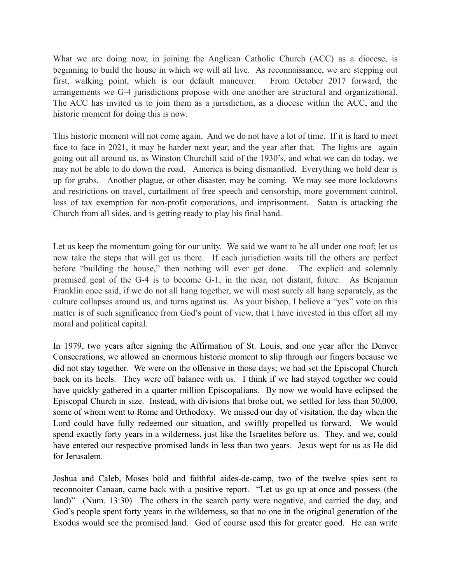What we are doing now, in joining the Anglican Catholic Church (ACC) as a diocese, is beginning to build the house in which we will all live. As reconnaissance, we are stepping out first, walking point, which is our default maneuver. From October 2017 forward, the arrangements we G-4 jurisdictions propose with one another are structural and organizational. The ACC has invited us to join them as a jurisdiction, as a diocese within the ACC, and the historic moment for doing this is now.

This historic moment will not come again. And we do not have a lot of time. If it is hard to meet face to face in 2021, it may be harder next year, and the year after that. The lights are again going out all around us, as Winston Churchill said of the 1930's, and what we can do today, we may not be able to do down the road. America is being dismantled. Everything we hold dear is up for grabs. Another plague, or other disaster, may be coming. We may see more lockdowns and restrictions on travel, curtailment of free speech and censorship, more government control, loss of tax exemption for non-profit corporations, and imprisonment. Satan is attacking the Church from all sides, and is getting ready to play his final hand.

Let us keep the momentum going for our unity. We said we want to be all under one roof; let us now take the steps that will get us there. If each jurisdiction waits till the others are perfect before "building the house," then nothing will ever get done. The explicit and solemnly promised goal of the G-4 is to become G-1, in the near, not distant, future. As Benjamin Franklin once said, if we do not all hang together, we will most surely all hang separately, as the culture collapses around us, and turns against us. As your bishop, I believe a "yes" vote on this matter is of such significance from God's point of view, that I have invested in this effort all my moral and political capital.

In 1979, two years after signing the Affirmation of St. Louis, and one year after the Denver Consecrations, we allowed an enormous historic moment to slip through our fingers because we did not stay together. We were on the offensive in those days; we had set the Episcopal Church back on its heels. They were off balance with us. I think if we had stayed together we could have quickly gathered in a quarter million Episcopalians. By now we would have eclipsed the Episcopal Church in size. Instead, with divisions that broke out, we settled for less than 50,000, some of whom went to Rome and Orthodoxy. We missed our day of visitation, the day when the Lord could have fully redeemed our situation, and swiftly propelled us forward. We would spend exactly forty years in a wilderness, just like the Israelites before us. They, and we, could have entered our respective promised lands in less than two years. Jesus wept for us as He did for Jerusalem.

Joshua and Caleb, Moses bold and faithful aides-de-camp, two of the twelve spies sent to reconnoiter Canaan, came back with a positive report. "Let us go up at once and possess (the land)" (Num. 13:30) The others in the search party were negative, and carried the day, and God's people spent forty years in the wilderness, so that no one in the original generation of the Exodus would see the promised land. God of course used this for greater good. He can write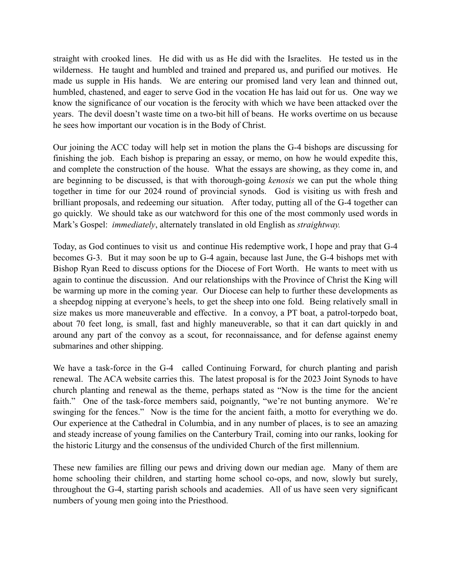straight with crooked lines. He did with us as He did with the Israelites. He tested us in the wilderness. He taught and humbled and trained and prepared us, and purified our motives. He made us supple in His hands. We are entering our promised land very lean and thinned out, humbled, chastened, and eager to serve God in the vocation He has laid out for us. One way we know the significance of our vocation is the ferocity with which we have been attacked over the years. The devil doesn't waste time on a two-bit hill of beans. He works overtime on us because he sees how important our vocation is in the Body of Christ.

Our joining the ACC today will help set in motion the plans the G-4 bishops are discussing for finishing the job. Each bishop is preparing an essay, or memo, on how he would expedite this, and complete the construction of the house. What the essays are showing, as they come in, and are beginning to be discussed, is that with thorough-going *kenosis* we can put the whole thing together in time for our 2024 round of provincial synods. God is visiting us with fresh and brilliant proposals, and redeeming our situation. After today, putting all of the G-4 together can go quickly. We should take as our watchword for this one of the most commonly used words in Mark's Gospel: *immediately*, alternately translated in old English as *straightway.*

Today, as God continues to visit us and continue His redemptive work, I hope and pray that G-4 becomes G-3. But it may soon be up to G-4 again, because last June, the G-4 bishops met with Bishop Ryan Reed to discuss options for the Diocese of Fort Worth. He wants to meet with us again to continue the discussion. And our relationships with the Province of Christ the King will be warming up more in the coming year. Our Diocese can help to further these developments as a sheepdog nipping at everyone's heels, to get the sheep into one fold. Being relatively small in size makes us more maneuverable and effective. In a convoy, a PT boat, a patrol-torpedo boat, about 70 feet long, is small, fast and highly maneuverable, so that it can dart quickly in and around any part of the convoy as a scout, for reconnaissance, and for defense against enemy submarines and other shipping.

We have a task-force in the G-4 called Continuing Forward, for church planting and parish renewal. The ACA website carries this. The latest proposal is for the 2023 Joint Synods to have church planting and renewal as the theme, perhaps stated as "Now is the time for the ancient faith." One of the task-force members said, poignantly, "we're not bunting anymore. We're swinging for the fences." Now is the time for the ancient faith, a motto for everything we do. Our experience at the Cathedral in Columbia, and in any number of places, is to see an amazing and steady increase of young families on the Canterbury Trail, coming into our ranks, looking for the historic Liturgy and the consensus of the undivided Church of the first millennium.

These new families are filling our pews and driving down our median age. Many of them are home schooling their children, and starting home school co-ops, and now, slowly but surely, throughout the G-4, starting parish schools and academies. All of us have seen very significant numbers of young men going into the Priesthood.